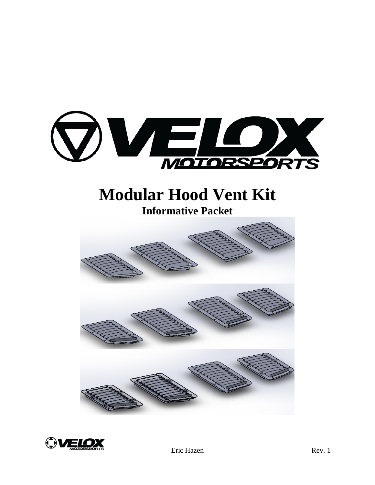

# **Modular Hood Vent Kit**

**Informative Packet**



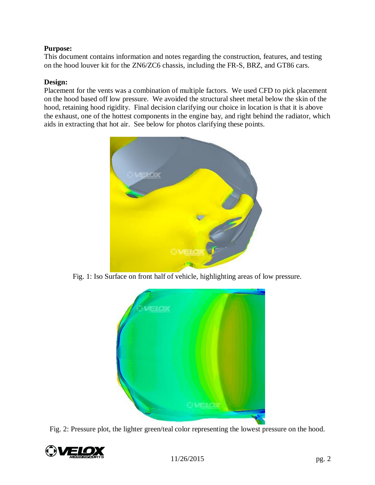## **Purpose:**

This document contains information and notes regarding the construction, features, and testing on the hood louver kit for the ZN6/ZC6 chassis, including the FR-S, BRZ, and GT86 cars.

#### **Design:**

Placement for the vents was a combination of multiple factors. We used CFD to pick placement on the hood based off low pressure. We avoided the structural sheet metal below the skin of the hood, retaining hood rigidity. Final decision clarifying our choice in location is that it is above the exhaust, one of the hottest components in the engine bay, and right behind the radiator, which aids in extracting that hot air. See below for photos clarifying these points.



Fig. 1: Iso Surface on front half of vehicle, highlighting areas of low pressure.



Fig. 2: Pressure plot, the lighter green/teal color representing the lowest pressure on the hood.

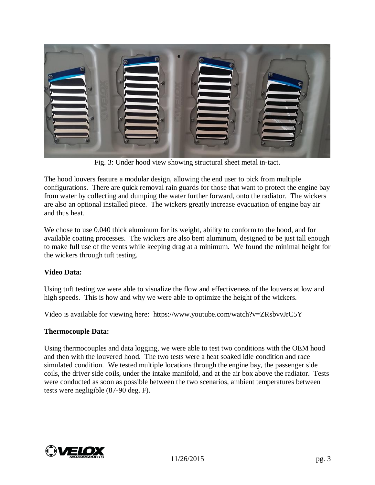

Fig. 3: Under hood view showing structural sheet metal in-tact.

The hood louvers feature a modular design, allowing the end user to pick from multiple configurations. There are quick removal rain guards for those that want to protect the engine bay from water by collecting and dumping the water further forward, onto the radiator. The wickers are also an optional installed piece. The wickers greatly increase evacuation of engine bay air and thus heat.

We chose to use 0.040 thick aluminum for its weight, ability to conform to the hood, and for available coating processes. The wickers are also bent aluminum, designed to be just tall enough to make full use of the vents while keeping drag at a minimum. We found the minimal height for the wickers through tuft testing.

### **Video Data:**

Using tuft testing we were able to visualize the flow and effectiveness of the louvers at low and high speeds. This is how and why we were able to optimize the height of the wickers.

Video is available for viewing here: https://www.youtube.com/watch?v=ZRsbvvJrC5Y

### **Thermocouple Data:**

Using thermocouples and data logging, we were able to test two conditions with the OEM hood and then with the louvered hood. The two tests were a heat soaked idle condition and race simulated condition. We tested multiple locations through the engine bay, the passenger side coils, the driver side coils, under the intake manifold, and at the air box above the radiator. Tests were conducted as soon as possible between the two scenarios, ambient temperatures between tests were negligible (87-90 deg. F).

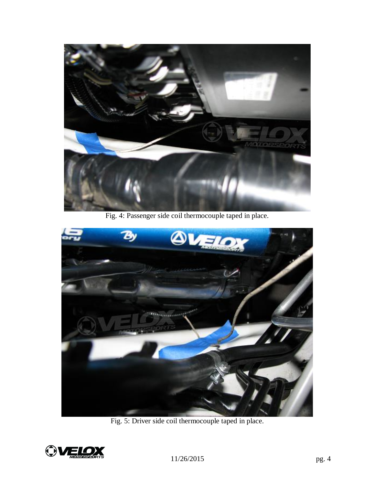

Fig. 4: Passenger side coil thermocouple taped in place.



Fig. 5: Driver side coil thermocouple taped in place.

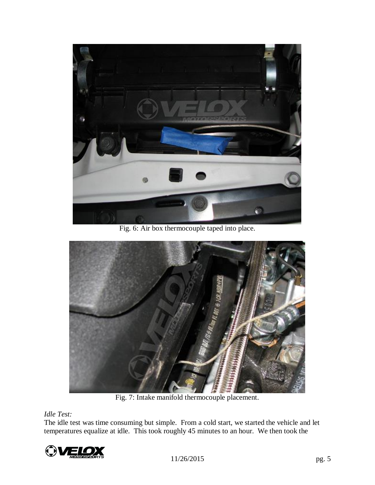

Fig. 6: Air box thermocouple taped into place.



Fig. 7: Intake manifold thermocouple placement.

# *Idle Test:*

The idle test was time consuming but simple. From a cold start, we started the vehicle and let temperatures equalize at idle. This took roughly 45 minutes to an hour. We then took the

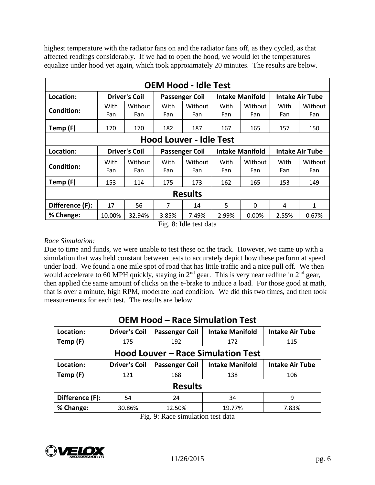highest temperature with the radiator fans on and the radiator fans off, as they cycled, as that affected readings considerably. If we had to open the hood, we would let the temperatures equalize under hood yet again, which took approximately 20 minutes. The results are below.

| <b>OEM Hood - Idle Test</b>    |                      |                                               |                       |                |                        |                |                        |                |  |
|--------------------------------|----------------------|-----------------------------------------------|-----------------------|----------------|------------------------|----------------|------------------------|----------------|--|
| Location:                      |                      | <b>Driver's Coil</b><br><b>Passenger Coil</b> |                       |                | <b>Intake Manifold</b> |                | <b>Intake Air Tube</b> |                |  |
| <b>Condition:</b>              | With<br>Fan          | Without<br>Fan                                | With<br>Fan           | Without<br>Fan | With<br>Fan            | Without<br>Fan | With<br>Fan            | Without<br>Fan |  |
| Temp (F)                       | 170                  | 170                                           | 182                   | 187            | 167                    | 165            | 157                    | 150            |  |
| <b>Hood Louver - Idle Test</b> |                      |                                               |                       |                |                        |                |                        |                |  |
| Location:                      | <b>Driver's Coil</b> |                                               | <b>Passenger Coil</b> |                | <b>Intake Manifold</b> |                | <b>Intake Air Tube</b> |                |  |
| <b>Condition:</b>              | With<br>Fan          | Without<br>Fan                                | With<br>Fan           | Without<br>Fan | With<br>Fan            | Without<br>Fan | With<br>Fan            | Without<br>Fan |  |
| Temp (F)                       | 153                  | 114                                           | 175                   | 173            | 162                    | 165            | 153                    | 149            |  |
| <b>Results</b>                 |                      |                                               |                       |                |                        |                |                        |                |  |
| Difference (F):                | 17                   | 56                                            | 7                     | 14             | 5                      | $\Omega$       | 4                      | 1              |  |
| % Change:                      | 10.00%               | 32.94%                                        | 3.85%                 | 7.49%          | 2.99%                  | 0.00%          | 2.55%                  | 0.67%          |  |

Fig. 8: Idle test data

## *Race Simulation:*

Due to time and funds, we were unable to test these on the track. However, we came up with a simulation that was held constant between tests to accurately depict how these perform at speed under load. We found a one mile spot of road that has little traffic and a nice pull off. We then would accelerate to 60 MPH quickly, staying in 2<sup>nd</sup> gear. This is very near redline in 2<sup>nd</sup> gear, then applied the same amount of clicks on the e-brake to induce a load. For those good at math, that is over a minute, high RPM, moderate load condition. We did this two times, and then took measurements for each test. The results are below.

| <b>OEM Hood - Race Simulation Test</b>    |                      |                       |                        |                        |  |  |  |  |  |
|-------------------------------------------|----------------------|-----------------------|------------------------|------------------------|--|--|--|--|--|
| Location:                                 | <b>Driver's Coil</b> | <b>Passenger Coil</b> | <b>Intake Manifold</b> | <b>Intake Air Tube</b> |  |  |  |  |  |
| Temp (F)                                  | 175                  | 192                   | 172                    | 115                    |  |  |  |  |  |
| <b>Hood Louver - Race Simulation Test</b> |                      |                       |                        |                        |  |  |  |  |  |
| Location:                                 | <b>Driver's Coil</b> | <b>Passenger Coil</b> | <b>Intake Manifold</b> | <b>Intake Air Tube</b> |  |  |  |  |  |
| Temp (F)                                  | 121                  | 168                   | 138                    | 106                    |  |  |  |  |  |
| <b>Results</b>                            |                      |                       |                        |                        |  |  |  |  |  |
| Difference (F):                           | 54                   | 24                    | 34                     | 9                      |  |  |  |  |  |
| % Change:                                 | 30.86%               | 12.50%                | 19.77%                 | 7.83%                  |  |  |  |  |  |

Fig. 9: Race simulation test data